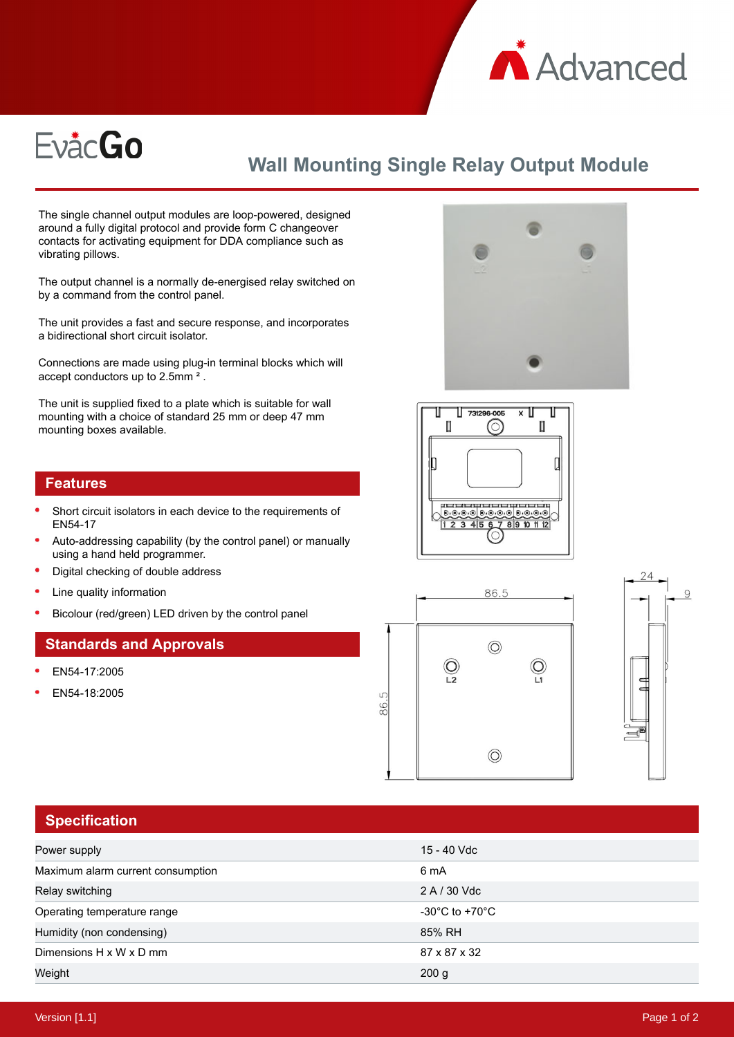

# **EvåcGo**

## **Wall Mounting Single Relay Output Module**

The single channel output modules are loop-powered, designed around a fully digital protocol and provide form C changeover contacts for activating equipment for DDA compliance such as vibrating pillows.

The output channel is a normally de-energised relay switched on by a command from the control panel.

The unit provides a fast and secure response, and incorporates a bidirectional short circuit isolator.

Connections are made using plug-in terminal blocks which will accept conductors up to 2.5mm ² .

The unit is supplied fixed to a plate which is suitable for wall mounting with a choice of standard 25 mm or deep 47 mm mounting boxes available.

#### **Features**

- Short circuit isolators in each device to the requirements of EN54-17
- Auto-addressing capability (by the control panel) or manually using a hand held programmer.
- Digital checking of double address
- Line quality information
- Bicolour (red/green) LED driven by the control panel

#### **Standards and Approvals**

- EN54-17:2005
- EN54-18:2005









#### **Specification**

| Power supply                      | 15 - 40 Vdc                          |
|-----------------------------------|--------------------------------------|
| Maximum alarm current consumption | 6 mA                                 |
| Relay switching                   | 2 A / 30 Vdc                         |
| Operating temperature range       | -30 $^{\circ}$ C to +70 $^{\circ}$ C |
| Humidity (non condensing)         | 85% RH                               |
| Dimensions H x W x D mm           | 87 x 87 x 32                         |
| Weight                            | 200 g                                |
|                                   |                                      |